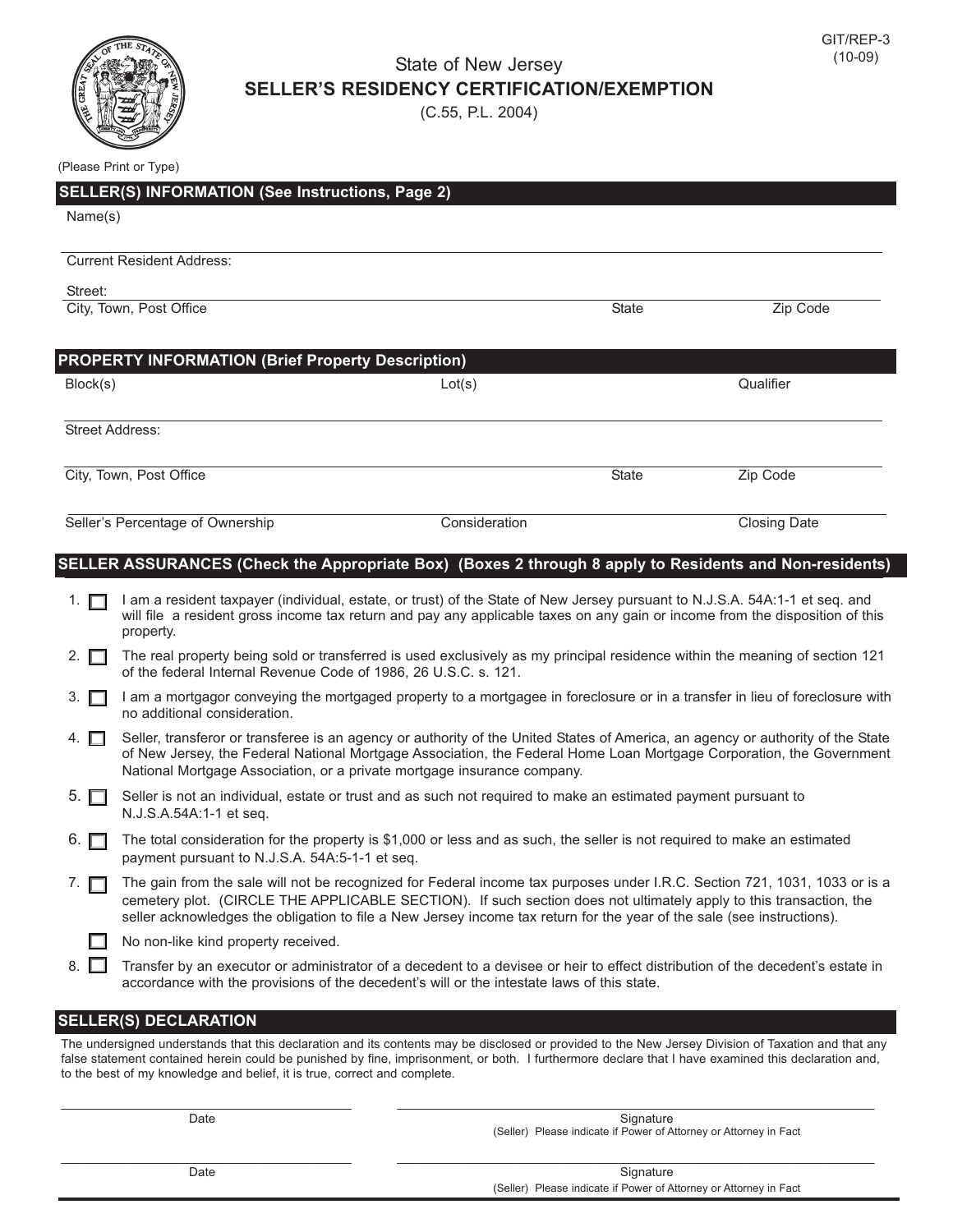

## State of New Jersey **SELLER'S RESIDENCY CERTIFICATION/EXEMPTION**

(C.55, P.L. 2004)

| (Please Print or Type) |  |  |  |
|------------------------|--|--|--|
|------------------------|--|--|--|

| <b>SELLER(S) INFORMATION (See Instructions, Page 2)</b>  |               |              |                     |  |  |
|----------------------------------------------------------|---------------|--------------|---------------------|--|--|
| Name(s)                                                  |               |              |                     |  |  |
|                                                          |               |              |                     |  |  |
| <b>Current Resident Address:</b>                         |               |              |                     |  |  |
| Street:                                                  |               |              |                     |  |  |
| City, Town, Post Office                                  |               | <b>State</b> | Zip Code            |  |  |
|                                                          |               |              |                     |  |  |
| <b>PROPERTY INFORMATION (Brief Property Description)</b> |               |              |                     |  |  |
| Block(s)                                                 | Lot(s)        |              | Qualifier           |  |  |
|                                                          |               |              |                     |  |  |
| <b>Street Address:</b>                                   |               |              |                     |  |  |
|                                                          |               |              |                     |  |  |
| City, Town, Post Office                                  |               | <b>State</b> | Zip Code            |  |  |
| Seller's Percentage of Ownership                         | Consideration |              | <b>Closing Date</b> |  |  |
|                                                          |               |              |                     |  |  |

## **SELLER ASSURANCES (Check the Appropriate Box) (Boxes 2 through 8 apply to Residents and Non-residents)**

| 1. $\Box$   | I am a resident taxpayer (individual, estate, or trust) of the State of New Jersey pursuant to N.J.S.A. 54A:1-1 et seq. and<br>will file a resident gross income tax return and pay any applicable taxes on any gain or income from the disposition of this<br>property.                                                                                                   |
|-------------|----------------------------------------------------------------------------------------------------------------------------------------------------------------------------------------------------------------------------------------------------------------------------------------------------------------------------------------------------------------------------|
| 2. $\Box$   | The real property being sold or transferred is used exclusively as my principal residence within the meaning of section 121<br>of the federal Internal Revenue Code of 1986, 26 U.S.C. s. 121.                                                                                                                                                                             |
| $3.$ $\Box$ | I am a mortgagor conveying the mortgaged property to a mortgagee in foreclosure or in a transfer in lieu of foreclosure with<br>no additional consideration.                                                                                                                                                                                                               |
| 4. $\Box$   | Seller, transferor or transferee is an agency or authority of the United States of America, an agency or authority of the State<br>of New Jersey, the Federal National Mortgage Association, the Federal Home Loan Mortgage Corporation, the Government<br>National Mortgage Association, or a private mortgage insurance company.                                         |
| $5.$ $\Box$ | Seller is not an individual, estate or trust and as such not required to make an estimated payment pursuant to<br>N.J.S.A.54A:1-1 et seq.                                                                                                                                                                                                                                  |
| 6. $\Box$   | The total consideration for the property is \$1,000 or less and as such, the seller is not required to make an estimated<br>payment pursuant to N.J.S.A. 54A:5-1-1 et seq.                                                                                                                                                                                                 |
| 7. $\Box$   | The gain from the sale will not be recognized for Federal income tax purposes under I.R.C. Section 721, 1031, 1033 or is a<br>cemetery plot. (CIRCLE THE APPLICABLE SECTION). If such section does not ultimately apply to this transaction, the<br>seller acknowledges the obligation to file a New Jersey income tax return for the year of the sale (see instructions). |
|             | No non-like kind property received.                                                                                                                                                                                                                                                                                                                                        |
| 8. $\Box$   | Transfer by an executor or administrator of a decedent to a devisee or heir to effect distribution of the decedent's estate in<br>accordance with the provisions of the decedent's will or the intestate laws of this state.                                                                                                                                               |
|             | <b>SELLER(S) DECLARATION</b>                                                                                                                                                                                                                                                                                                                                               |
|             |                                                                                                                                                                                                                                                                                                                                                                            |

The undersigned understands that this declaration and its contents may be disclosed or provided to the New Jersey Division of Taxation and that any false statement contained herein could be punished by fine, imprisonment, or both. I furthermore declare that I have examined this declaration and, to the best of my knowledge and belief, it is true, correct and complete.

\_\_\_\_\_\_\_\_\_\_\_\_\_\_\_\_\_\_\_\_\_\_\_\_\_\_\_\_\_\_\_\_\_\_\_\_\_\_\_\_\_\_ \_\_\_\_\_\_\_\_\_\_\_\_\_\_\_\_\_\_\_\_\_\_\_\_\_\_\_\_\_\_\_\_\_\_\_\_\_\_\_\_\_\_\_\_\_\_\_\_\_\_\_\_\_\_\_\_\_\_\_\_\_\_\_\_\_\_\_\_\_

Date Signature Signature (1999) and the Signature of the Signature of the Signature of Signature of the Signature of the Signature of the Signature of the Signature of the Signature of the Signature of the Signature of the (Seller) Please indicate if Power of Attorney or Attorney in Fact

\_\_\_\_\_\_\_\_\_\_\_\_\_\_\_\_\_\_\_\_\_\_\_\_\_\_\_\_\_\_\_\_\_\_\_\_\_\_\_\_\_\_ \_\_\_\_\_\_\_\_\_\_\_\_\_\_\_\_\_\_\_\_\_\_\_\_\_\_\_\_\_\_\_\_\_\_\_\_\_\_\_\_\_\_\_\_\_\_\_\_\_\_\_\_\_\_\_\_\_\_\_\_\_\_\_\_\_\_\_\_\_

Date Signature (Seller) Please indicate if Power of Attorney or Attorney in Fact